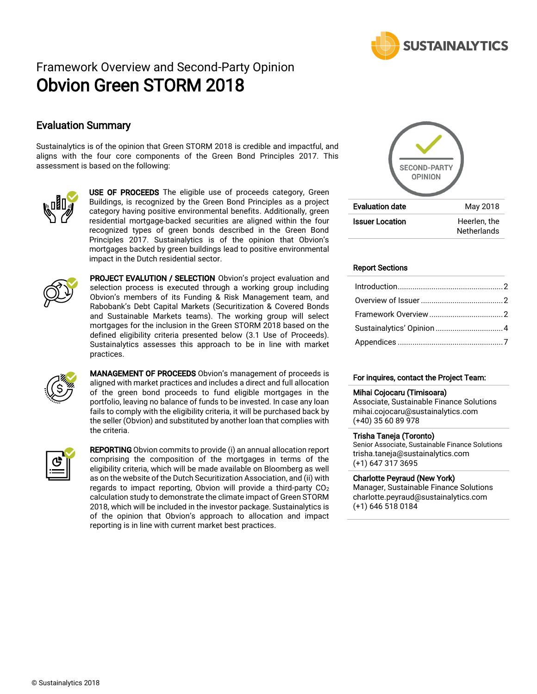

# Framework Overview and Second-Party Opinion Obvion Green STORM 2018

## Evaluation Summary

Sustainalytics is of the opinion that Green STORM 2018 is credible and impactful, and aligns with the four core components of the Green Bond Principles 2017. This assessment is based on the following:



USE OF PROCEEDS The eligible use of proceeds category, Green Buildings, is recognized by the Green Bond Principles as a project category having positive environmental benefits. Additionally, green residential mortgage-backed securities are aligned within the four recognized types of green bonds described in the Green Bond Principles 2017. Sustainalytics is of the opinion that Obvion's mortgages backed by green buildings lead to positive environmental impact in the Dutch residential sector.



PROJECT EVALUTION / SELECTION Obvion's project evaluation and selection process is executed through a working group including Obvion's members of its Funding & Risk Management team, and Rabobank's Debt Capital Markets (Securitization & Covered Bonds and Sustainable Markets teams). The working group will select mortgages for the inclusion in the Green STORM 2018 based on the defined eligibility criteria presented below (3.1 Use of Proceeds). Sustainalytics assesses this approach to be in line with market practices.



**MANAGEMENT OF PROCEEDS** Obvion's management of proceeds is aligned with market practices and includes a direct and full allocation of the green bond proceeds to fund eligible mortgages in the portfolio, leaving no balance of funds to be invested. In case any loan fails to comply with the eligibility criteria, it will be purchased back by the seller (Obvion) and substituted by another loan that complies with the criteria.



**REPORTING** Obvion commits to provide (i) an annual allocation report comprising the composition of the mortgages in terms of the eligibility criteria, which will be made available on Bloomberg as well as on the website of the Dutch Securitization Association, and (ii) with regards to impact reporting, Obvion will provide a third-party  $CO<sub>2</sub>$ calculation study to demonstrate the climate impact of Green STORM 2018, which will be included in the investor package. Sustainalytics is of the opinion that Obvion's approach to allocation and impact reporting is in line with current market best practices.



#### Report Sections

| Sustainalytics' Opinion 4 |  |
|---------------------------|--|
|                           |  |

#### For inquires, contact the Project Team:

#### Mihai Cojocaru (Timisoara)

Associate, Sustainable Finance Solutions mihai.cojocaru@sustainalytics.com (+40) 35 60 89 978

#### Trisha Taneja (Toronto)

Senior Associate, Sustainable Finance Solutions trisha.taneja@sustainalytics.com (+1) 647 317 3695

#### Charlotte Peyraud (New York)

Manager, Sustainable Finance Solutions [charlotte.peyraud@sustainalytics.com](mailto:charlotte.peyraud@sustainalytics.com) (+1) 646 518 0184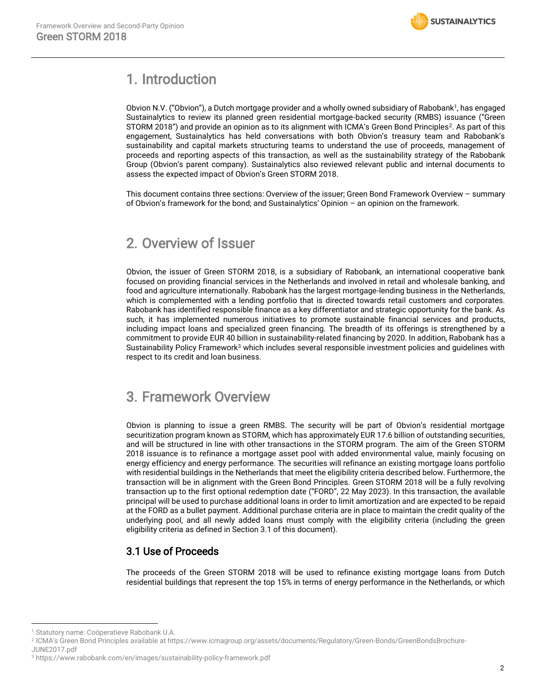

## <span id="page-1-0"></span>1. Introduction

Obvion N.V. ("Obvion"), a Dutch mortgage provider and a wholly owned subsidiary of Rabobank<sup>1</sup>, has engaged Sustainalytics to review its planned green residential mortgage-backed security (RMBS) issuance ("Green STORM 2018") and provide an opinion as to its alignment with ICMA's Green Bond Principles<sup>2</sup>. As part of this engagement, Sustainalytics has held conversations with both Obvion's treasury team and Rabobank's sustainability and capital markets structuring teams to understand the use of proceeds, management of proceeds and reporting aspects of this transaction, as well as the sustainability strategy of the Rabobank Group (Obvion's parent company). Sustainalytics also reviewed relevant public and internal documents to assess the expected impact of Obvion's Green STORM 2018.

This document contains three sections: Overview of the issuer; Green Bond Framework Overview – summary of Obvion's framework for the bond; and Sustainalytics' Opinion – an opinion on the framework.

## <span id="page-1-1"></span>2. Overview of Issuer

Obvion, the issuer of Green STORM 2018, is a subsidiary of Rabobank, an international cooperative bank focused on providing financial services in the Netherlands and involved in retail and wholesale banking, and food and agriculture internationally. Rabobank has the largest mortgage-lending business in the Netherlands, which is complemented with a lending portfolio that is directed towards retail customers and corporates. Rabobank has identified responsible finance as a key differentiator and strategic opportunity for the bank. As such, it has implemented numerous initiatives to promote sustainable financial services and products, including impact loans and specialized green financing. The breadth of its offerings is strengthened by a commitment to provide EUR 40 billion in sustainability-related financing by 2020. In addition, Rabobank has a Sustainability Policy Framework<sup>3</sup> which includes several responsible investment policies and guidelines with respect to its credit and loan business.

## <span id="page-1-2"></span>3. Framework Overview

Obvion is planning to issue a green RMBS. The security will be part of Obvion's residential mortgage securitization program known as STORM, which has approximately EUR 17.6 billion of outstanding securities, and will be structured in line with other transactions in the STORM program. The aim of the Green STORM 2018 issuance is to refinance a mortgage asset pool with added environmental value, mainly focusing on energy efficiency and energy performance. The securities will refinance an existing mortgage loans portfolio with residential buildings in the Netherlands that meet the eligibility criteria described below. Furthermore, the transaction will be in alignment with the Green Bond Principles. Green STORM 2018 will be a fully revolving transaction up to the first optional redemption date ("FORD", 22 May 2023). In this transaction, the available principal will be used to purchase additional loans in order to limit amortization and are expected to be repaid at the FORD as a bullet payment. Additional purchase criteria are in place to maintain the credit quality of the underlying pool, and all newly added loans must comply with the eligibility criteria (including the green eligibility criteria as defined in Section 3.1 of this document).

## 3.1 Use of Proceeds

The proceeds of the Green STORM 2018 will be used to refinance existing mortgage loans from Dutch residential buildings that represent the top 15% in terms of energy performance in the Netherlands, or which

<sup>1</sup> Statutory name: Coöperatieve Rabobank U.A.

<sup>2</sup> ICMA's Green Bond Principles available a[t https://www.icmagroup.org/assets/documents/Regulatory/Green-Bonds/GreenBondsBrochure-](https://www.icmagroup.org/assets/documents/Regulatory/Green-Bonds/GreenBondsBrochure-JUNE2017.pdf)

[JUNE2017.pdf](https://www.icmagroup.org/assets/documents/Regulatory/Green-Bonds/GreenBondsBrochure-JUNE2017.pdf)

<sup>3</sup> <https://www.rabobank.com/en/images/sustainability-policy-framework.pdf>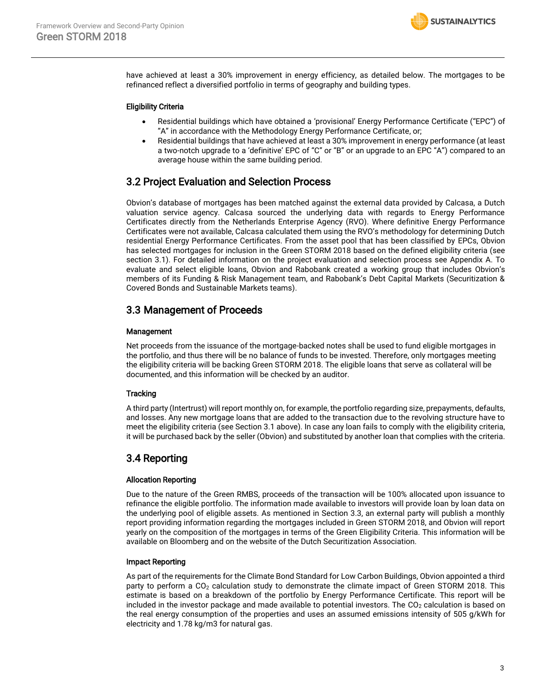

have achieved at least a 30% improvement in energy efficiency, as detailed below. The mortgages to be refinanced reflect a diversified portfolio in terms of geography and building types.

#### Eligibility Criteria

- Residential buildings which have obtained a 'provisional' Energy Performance Certificate ("EPC") of "A" in accordance with the Methodology Energy Performance Certificate, or;
- Residential buildings that have achieved at least a 30% improvement in energy performance (at least a two-notch upgrade to a 'definitive' EPC of "C" or "B" or an upgrade to an EPC "A") compared to an average house within the same building period.

### 3.2 Project Evaluation and Selection Process

Obvion's database of mortgages has been matched against the external data provided by Calcasa, a Dutch valuation service agency. Calcasa sourced the underlying data with regards to Energy Performance Certificates directly from the Netherlands Enterprise Agency (RVO). Where definitive Energy Performance Certificates were not available, Calcasa calculated them using the RVO's methodology for determining Dutch residential Energy Performance Certificates. From the asset pool that has been classified by EPCs, Obvion has selected mortgages for inclusion in the Green STORM 2018 based on the defined eligibility criteria (see section 3.1). For detailed information on the project evaluation and selection process see Appendix A. To evaluate and select eligible loans, Obvion and Rabobank created a working group that includes Obvion's members of its Funding & Risk Management team, and Rabobank's Debt Capital Markets (Securitization & Covered Bonds and Sustainable Markets teams).

## 3.3 Management of Proceeds

#### Management

Net proceeds from the issuance of the mortgage-backed notes shall be used to fund eligible mortgages in the portfolio, and thus there will be no balance of funds to be invested. Therefore, only mortgages meeting the eligibility criteria will be backing Green STORM 2018. The eligible loans that serve as collateral will be documented, and this information will be checked by an auditor.

#### **Tracking**

A third party (Intertrust) will report monthly on, for example, the portfolio regarding size, prepayments, defaults, and losses. Any new mortgage loans that are added to the transaction due to the revolving structure have to meet the eligibility criteria (see Section 3.1 above). In case any loan fails to comply with the eligibility criteria, it will be purchased back by the seller (Obvion) and substituted by another loan that complies with the criteria.

### 3.4 Reporting

#### Allocation Reporting

Due to the nature of the Green RMBS, proceeds of the transaction will be 100% allocated upon issuance to refinance the eligible portfolio. The information made available to investors will provide loan by loan data on the underlying pool of eligible assets. As mentioned in Section 3.3, an external party will publish a monthly report providing information regarding the mortgages included in Green STORM 2018, and Obvion will report yearly on the composition of the mortgages in terms of the Green Eligibility Criteria. This information will be available on Bloomberg and on the website of the Dutch Securitization Association.

#### Impact Reporting

As part of the requirements for the Climate Bond Standard for Low Carbon Buildings, Obvion appointed a third party to perform a CO<sub>2</sub> calculation study to demonstrate the climate impact of Green STORM 2018. This estimate is based on a breakdown of the portfolio by Energy Performance Certificate. This report will be included in the investor package and made available to potential investors. The  $CO<sub>2</sub>$  calculation is based on the real energy consumption of the properties and uses an assumed emissions intensity of 505 g/kWh for electricity and 1.78 kg/m3 for natural gas.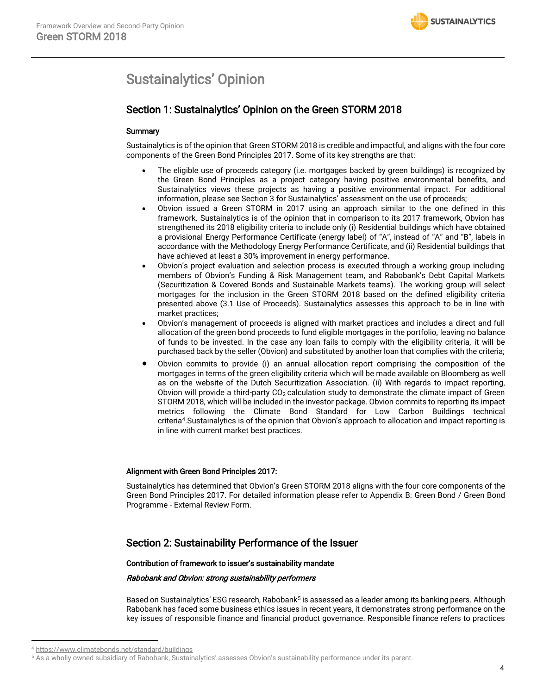## <span id="page-3-0"></span>Sustainalytics' Opinion

## Section 1: Sustainalytics' Opinion on the Green STORM 2018

#### **Summary**

Sustainalytics is of the opinion that Green STORM 2018 is credible and impactful, and aligns with the four core components of the Green Bond Principles 2017. Some of its key strengths are that:

- The eligible use of proceeds category (i.e. mortgages backed by green buildings) is recognized by the Green Bond Principles as a project category having positive environmental benefits, and Sustainalytics views these projects as having a positive environmental impact. For additional information, please see Section 3 for Sustainalytics' assessment on the use of proceeds;
- Obvion issued a Green STORM in 2017 using an approach similar to the one defined in this framework. Sustainalytics is of the opinion that in comparison to its 2017 framework, Obvion has strengthened its 2018 eligibility criteria to include only (i) Residential buildings which have obtained a provisional Energy Performance Certificate (energy label) of "A", instead of "A" and "B", labels in accordance with the Methodology Energy Performance Certificate, and (ii) Residential buildings that have achieved at least a 30% improvement in energy performance.
- Obvion's project evaluation and selection process is executed through a working group including members of Obvion's Funding & Risk Management team, and Rabobank's Debt Capital Markets (Securitization & Covered Bonds and Sustainable Markets teams). The working group will select mortgages for the inclusion in the Green STORM 2018 based on the defined eligibility criteria presented above (3.1 Use of Proceeds). Sustainalytics assesses this approach to be in line with market practices;
- Obvion's management of proceeds is aligned with market practices and includes a direct and full allocation of the green bond proceeds to fund eligible mortgages in the portfolio, leaving no balance of funds to be invested. In the case any loan fails to comply with the eligibility criteria, it will be purchased back by the seller (Obvion) and substituted by another loan that complies with the criteria;
- Obvion commits to provide (i) an annual allocation report comprising the composition of the mortgages in terms of the green eligibility criteria which will be made available on Bloomberg as well as on the website of the Dutch Securitization Association. (ii) With regards to impact reporting, Obvion will provide a third-party  $CO<sub>2</sub>$  calculation study to demonstrate the climate impact of Green STORM 2018, which will be included in the investor package. Obvion commits to reporting its impact metrics following the Climate Bond Standard for Low Carbon Buildings technical criteria<sup>4</sup>.Sustainalytics is of the opinion that Obvion's approach to allocation and impact reporting is in line with current market best practices.

#### Alignment with Green Bond Principles 2017:

Sustainalytics has determined that Obvion's Green STORM 2018 aligns with the four core components of the Green Bond Principles 2017. For detailed information please refer to Appendix B: Green Bond / Green Bond Programme - External Review Form.

## Section 2: Sustainability Performance of the Issuer

#### Contribution of framework to issuer's sustainability mandate

#### Rabobank and Obvion: strong sustainability performers

Based on Sustainalytics' ESG research, Rabobank<sup>5</sup> is assessed as a leader among its banking peers. Although Rabobank has faced some business ethics issues in recent years, it demonstrates strong performance on the key issues of responsible finance and financial product governance. Responsible finance refers to practices

 $\overline{\phantom{a}}$ 

<sup>4</sup> <https://www.climatebonds.net/standard/buildings>

<sup>&</sup>lt;sup>5</sup> As a wholly owned subsidiary of Rabobank, Sustainalytics' assesses Obvion's sustainability performance under its parent.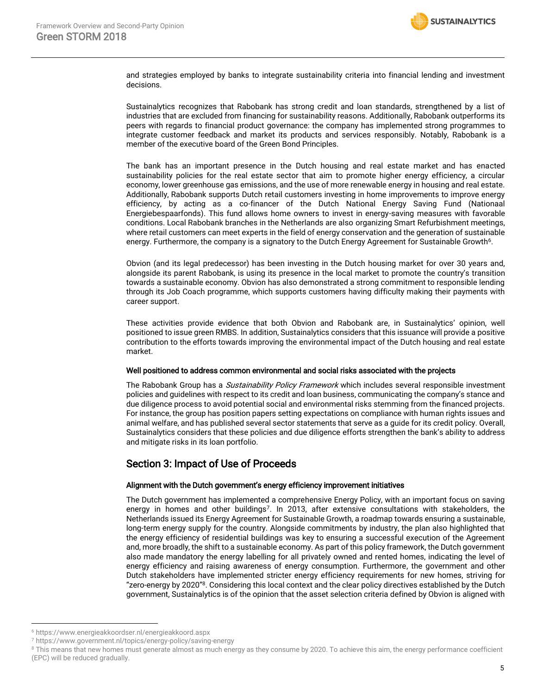

and strategies employed by banks to integrate sustainability criteria into financial lending and investment decisions.

Sustainalytics recognizes that Rabobank has strong credit and loan standards, strengthened by a list of industries that are excluded from financing for sustainability reasons. Additionally, Rabobank outperforms its peers with regards to financial product governance: the company has implemented strong programmes to integrate customer feedback and market its products and services responsibly. Notably, Rabobank is a member of the executive board of the Green Bond Principles.

The bank has an important presence in the Dutch housing and real estate market and has enacted sustainability policies for the real estate sector that aim to promote higher energy efficiency, a circular economy, lower greenhouse gas emissions, and the use of more renewable energy in housing and real estate. Additionally, Rabobank supports Dutch retail customers investing in home improvements to improve energy efficiency, by acting as a co-financer of the Dutch National Energy Saving Fund (Nationaal Energiebespaarfonds). This fund allows home owners to invest in energy-saving measures with favorable conditions. Local Rabobank branches in the Netherlands are also organizing Smart Refurbishment meetings, where retail customers can meet experts in the field of energy conservation and the generation of sustainable energy. Furthermore, the company is a signatory to the Dutch Energy Agreement for Sustainable Growth<sup>6</sup>.

Obvion (and its legal predecessor) has been investing in the Dutch housing market for over 30 years and, alongside its parent Rabobank, is using its presence in the local market to promote the country's transition towards a sustainable economy. Obvion has also demonstrated a strong commitment to responsible lending through its Job Coach programme, which supports customers having difficulty making their payments with career support.

These activities provide evidence that both Obvion and Rabobank are, in Sustainalytics' opinion, well positioned to issue green RMBS. In addition, Sustainalytics considers that this issuance will provide a positive contribution to the efforts towards improving the environmental impact of the Dutch housing and real estate market.

#### Well positioned to address common environmental and social risks associated with the projects

The Rabobank Group has a Sustainability Policy Framework which includes several responsible investment policies and guidelines with respect to its credit and loan business, communicating the company's stance and due diligence process to avoid potential social and environmental risks stemming from the financed projects. For instance, the group has position papers setting expectations on compliance with human rights issues and animal welfare, and has published several sector statements that serve as a guide for its credit policy. Overall, Sustainalytics considers that these policies and due diligence efforts strengthen the bank's ability to address and mitigate risks in its loan portfolio.

## Section 3: Impact of Use of Proceeds

#### Alignment with the Dutch government's energy efficiency improvement initiatives

The Dutch government has implemented a comprehensive Energy Policy, with an important focus on saving energy in homes and other buildings<sup>7</sup>. In 2013, after extensive consultations with stakeholders, the Netherlands issued its Energy Agreement for Sustainable Growth, a roadmap towards ensuring a sustainable, long-term energy supply for the country. Alongside commitments by industry, the plan also highlighted that the energy efficiency of residential buildings was key to ensuring a successful execution of the Agreement and, more broadly, the shift to a sustainable economy. As part of this policy framework, the Dutch government also made mandatory the energy labelling for all privately owned and rented homes, indicating the level of energy efficiency and raising awareness of energy consumption. Furthermore, the government and other Dutch stakeholders have implemented stricter energy efficiency requirements for new homes, striving for "zero-energy by 2020"<sup>8</sup>. Considering this local context and the clear policy directives established by the Dutch government, Sustainalytics is of the opinion that the asset selection criteria defined by Obvion is aligned with

<sup>6</sup> <https://www.energieakkoordser.nl/energieakkoord.aspx>

<sup>7</sup> <https://www.government.nl/topics/energy-policy/saving-energy>

<sup>&</sup>lt;sup>8</sup> This means that new homes must generate almost as much energy as they consume by 2020. To achieve this aim, the energy performance coefficient (EPC) will be reduced gradually.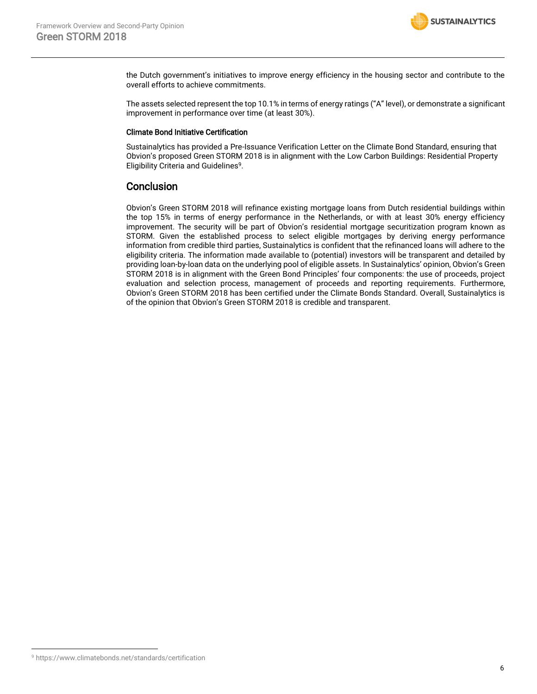

the Dutch government's initiatives to improve energy efficiency in the housing sector and contribute to the overall efforts to achieve commitments.

The assets selected represent the top 10.1% in terms of energy ratings ("A" level), or demonstrate a significant improvement in performance over time (at least 30%).

#### Climate Bond Initiative Certification

Sustainalytics has provided a Pre-Issuance Verification Letter on the Climate Bond Standard, ensuring that Obvion's proposed Green STORM 2018 is in alignment with the Low Carbon Buildings: Residential Property Eligibility Criteria and Guidelines<sup>9</sup>.

## **Conclusion**

Obvion's Green STORM 2018 will refinance existing mortgage loans from Dutch residential buildings within the top 15% in terms of energy performance in the Netherlands, or with at least 30% energy efficiency improvement. The security will be part of Obvion's residential mortgage securitization program known as STORM. Given the established process to select eligible mortgages by deriving energy performance information from credible third parties, Sustainalytics is confident that the refinanced loans will adhere to the eligibility criteria. The information made available to (potential) investors will be transparent and detailed by providing loan-by-loan data on the underlying pool of eligible assets. In Sustainalytics' opinion, Obvion's Green STORM 2018 is in alignment with the Green Bond Principles' four components: the use of proceeds, project evaluation and selection process, management of proceeds and reporting requirements. Furthermore, Obvion's Green STORM 2018 has been certified under the Climate Bonds Standard. Overall, Sustainalytics is of the opinion that Obvion's Green STORM 2018 is credible and transparent.

<sup>9</sup> <https://www.climatebonds.net/standards/certification>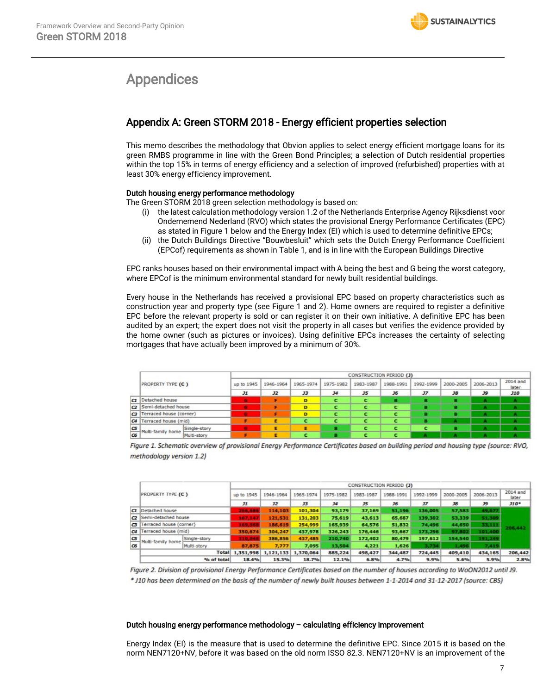## <span id="page-6-0"></span>Appendices

## Appendix A: Green STORM 2018 - Energy efficient properties selection

This memo describes the methodology that Obvion applies to select energy efficient mortgage loans for its green RMBS programme in line with the Green Bond Principles; a selection of Dutch residential properties within the top 15% in terms of energy efficiency and a selection of improved (refurbished) properties with at least 30% energy efficiency improvement.

#### Dutch housing energy performance methodology

The Green STORM 2018 green selection methodology is based on:

- (i) the latest calculation methodology version 1.2 of the Netherlands Enterprise Agency Rijksdienst voor Ondernemend Nederland (RVO) which states the provisional Energy Performance Certificates (EPC) as stated in Figure 1 below and the Energy Index (EI) which is used to determine definitive EPCs;
- (ii) the Dutch Buildings Directive "Bouwbesluit" which sets the Dutch Energy Performance Coefficient (EPCof) requirements as shown in Table 1, and is in line with the European Buildings Directive

EPC ranks houses based on their environmental impact with A being the best and G being the worst category, where EPCof is the minimum environmental standard for newly built residential buildings.

Every house in the Netherlands has received a provisional EPC based on property characteristics such as construction year and property type (see Figure 1 and 2). Home owners are required to register a definitive EPC before the relevant property is sold or can register it on their own initiative. A definitive EPC has been audited by an expert; the expert does not visit the property in all cases but verifies the evidence provided by the home owner (such as pictures or invoices). Using definitive EPCs increases the certainty of selecting mortgages that have actually been improved by a minimum of 30%.

|              |                                  | CONSTRUCTION PERIOD (J) |           |           |                |           |           |                |           |           |                   |
|--------------|----------------------------------|-------------------------|-----------|-----------|----------------|-----------|-----------|----------------|-----------|-----------|-------------------|
|              | PROPERTY TYPE (C)                | up to 1945              | 1946-1964 | 1965-1974 | 1975-1982      | 1983-1987 | 1988-1991 | 1992-1999      | 2000-2005 | 2006-2013 | 2014 and<br>later |
|              |                                  | J1                      | J2        | J3        | J <sub>4</sub> | $35$      | J6        | J <sub>7</sub> | <b>J8</b> | J9        | J10               |
| C1           | Detached house                   |                         |           | D         | е              | с         | в         |                |           | ٠         |                   |
| $\mathbf{C}$ | Semi-detached house              | п                       |           | D         |                | c         |           |                | п         | ۰         | a.                |
| $\sigma$     | Terraced house (corner)          |                         |           | D         | с              | c         |           |                |           |           |                   |
| C4           | Terraced house (mid)             |                         | Ε         |           | c              | с         |           | R              | m         |           | A                 |
| <b>CS</b>    | Single-story                     | ٠                       | Е         | я         | я              | с         |           | с              | B         | л         |                   |
| C6           | Multi-family home<br>Multi-story |                         |           |           |                | c         |           |                |           |           |                   |

Figure 1. Schematic overview of provisional Energy Performance Certificates based on building period and housing type (source: RVO, methodology version 1.2)

|              |                                   |                           |           |           |           |           | CONSTRUCTION PERIOD (J) |                 |           |           |                   |
|--------------|-----------------------------------|---------------------------|-----------|-----------|-----------|-----------|-------------------------|-----------------|-----------|-----------|-------------------|
|              | <b>PROPERTY TYPE (C)</b>          | up to 1945                | 1946-1964 | 1965-1974 | 1975-1982 | 1983-1987 | 1988-1991               | 1992-1999       | 2000-2005 | 2006-2013 | 2014 and<br>later |
|              |                                   | J1                        | J2        | J3        | 34        | J5        | J6                      | $J\overline{J}$ | <b>J8</b> | J9        | $J10*$            |
|              | CI Detached house                 |                           | 114,103   | 101,304   | 93,179    | 37,169    | 51,196                  | 136,005         | 57,583    | 49.677    |                   |
| $\mathbf{C}$ | Semi-detached house               | 167.141                   | 121.531   | 131,203   | 75,619    | 43,613    | 65,687                  | 139,302         | 53,339    | 51,309    |                   |
| $\sigma$     | Terraced house (corner)           | 169.                      | 186,619   | 254,999   | 165,939   | 64,576    | 51,832                  | 74,496          | 44,650    | 33,111    | 206,442           |
|              | C4  Terraced house (mid)          | 350.674                   | 304.247   | 437.978   | 326.243   | 176,446   | 93,667                  | 173.296         | 97,802    | 101.400   |                   |
| C5           | Single-story<br>Multi-family home | 310.04                    | 386,856   | 437,485   | 210.740   | 172,402   | 80,479                  | 197,612         | 154,540   | 191,249   |                   |
| C6           | Multi-story                       | 87.875                    | 7,777     | 7,095     | 13,504    | 4,221     | 1,626                   | 3,734           | 1,496     | 7,419     |                   |
|              |                                   | Total 1,351,998 1,121,133 |           | 1,370,064 | 885,224   | 498,427   | 344,487                 | 724,445         | 409,410   | 434,165   | 206,442           |
|              | % of total                        | 18.4%                     | 15.3%     | 18.7%     | 12.1%     | 6.8%      | 4.7%                    | 9.9%            | 5.6%      | 5.9%      | 2.8%              |

Figure 2. Division of provisional Energy Performance Certificates based on the number of houses according to WoON2012 until J9. \* J10 has been determined on the basis of the number of newly built houses between 1-1-2014 and 31-12-2017 (source: CBS)

#### Dutch housing energy performance methodology – calculating efficiency improvement

Energy Index (EI) is the measure that is used to determine the definitive EPC. Since 2015 it is based on the norm NEN7120+NV, before it was based on the old norm ISSO 82.3. NEN7120+NV is an improvement of the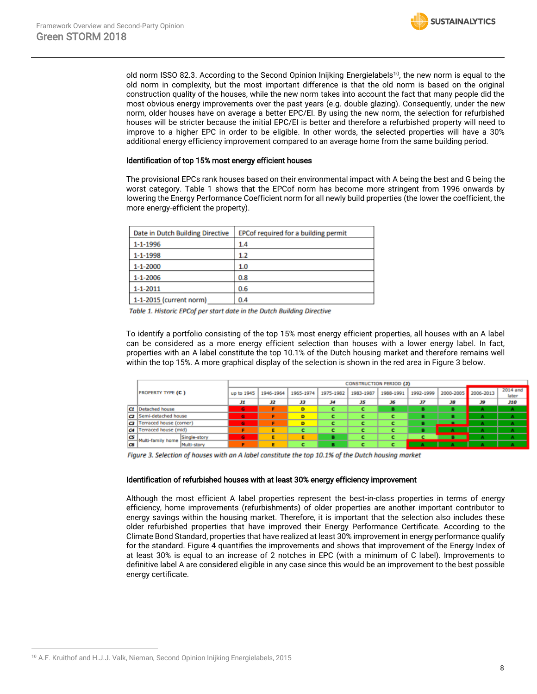old norm ISSO 82.3. According to the Second Opinion Inijking Energielabels<sup>10</sup>, the new norm is equal to the old norm in complexity, but the most important difference is that the old norm is based on the original construction quality of the houses, while the new norm takes into account the fact that many people did the most obvious energy improvements over the past years (e.g. double glazing). Consequently, under the new norm, older houses have on average a better EPC/EI. By using the new norm, the selection for refurbished houses will be stricter because the initial EPC/EI is better and therefore a refurbished property will need to improve to a higher EPC in order to be eligible. In other words, the selected properties will have a 30% additional energy efficiency improvement compared to an average home from the same building period.

**SUSTAINALYTICS** 

#### Identification of top 15% most energy efficient houses

The provisional EPCs rank houses based on their environmental impact with A being the best and G being the worst category. Table 1 shows that the EPCof norm has become more stringent from 1996 onwards by lowering the Energy Performance Coefficient norm for all newly build properties (the lower the coefficient, the more energy-efficient the property).

| Date in Dutch Building Directive | EPC of required for a building permit |
|----------------------------------|---------------------------------------|
| 1-1-1996                         | 1.4                                   |
| $1 - 1 - 1998$                   | 1.2                                   |
| $1 - 1 - 2000$                   | 1.0                                   |
| $1 - 1 - 2006$                   | 0.8                                   |
| $1 - 1 - 2011$                   | 0.6                                   |
| 1-1-2015 (current norm)          | 0.4                                   |

Table 1. Historic EPCof per start date in the Dutch Building Directive

To identify a portfolio consisting of the top 15% most energy efficient properties, all houses with an A label can be considered as a more energy efficient selection than houses with a lower energy label. In fact, properties with an A label constitute the top 10.1% of the Dutch housing market and therefore remains well within the top 15%. A more graphical display of the selection is shown in the red area in Figure 3 below.

|    |                                   |            | <b>CONSTRUCTION PERIOD (J)</b> |           |           |           |           |           |    |                     |                   |  |
|----|-----------------------------------|------------|--------------------------------|-----------|-----------|-----------|-----------|-----------|----|---------------------|-------------------|--|
|    | <b>PROPERTY TYPE (C)</b>          | up to 1945 | 1946-1964                      | 1965-1974 | 1975-1982 | 1983-1987 | 1988-1991 | 1992-1999 |    | 2000-2005 2006-2013 | 2014 and<br>later |  |
|    |                                   | Лı         | J2                             | JЗ        | J4        | J5        | J6        | J7        | J8 | J9                  | <b>J10</b>        |  |
|    | C1 Detached house                 | G          |                                | D         | c         |           |           |           | в  | А                   | A                 |  |
|    | C2 Semi-detached house            | G          |                                | D         | с         |           |           | в         | в  | А                   | А                 |  |
|    | C3  Terraced house (corner)       | G          |                                | D         |           |           |           |           |    | А                   | А                 |  |
|    | C4   Terraced house (mid)         |            | E                              |           | с         |           |           | в         |    | А                   | А                 |  |
| CS | Single-story<br>Multi-family home | G          | E                              | E         | в         |           |           |           |    | А                   | А                 |  |
| C6 | Multi-story                       |            | E                              | c         | в         |           |           |           | А  | А                   | А                 |  |
|    |                                   |            |                                |           |           |           |           |           |    |                     |                   |  |

Figure 3. Selection of houses with an A label constitute the top 10.1% of the Dutch housing market

#### Identification of refurbished houses with at least 30% energy efficiency improvement

Although the most efficient A label properties represent the best-in-class properties in terms of energy efficiency, home improvements (refurbishments) of older properties are another important contributor to energy savings within the housing market. Therefore, it is important that the selection also includes these older refurbished properties that have improved their Energy Performance Certificate. According to the Climate Bond Standard, properties that have realized at least 30% improvement in energy performance qualify for the standard. Figure 4 quantifies the improvements and shows that improvement of the Energy Index of at least 30% is equal to an increase of 2 notches in EPC (with a minimum of C label). Improvements to definitive label A are considered eligible in any case since this would be an improvement to the best possible energy certificate.

<sup>&</sup>lt;sup>10</sup> A.F. Kruithof and H.J.J. Valk, Nieman, Second Opinion Inijking Energielabels, 2015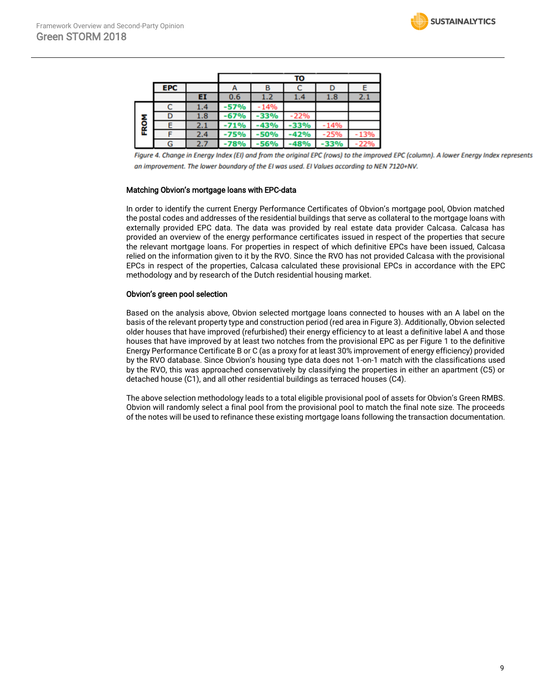|      |            |     |        |      | τо     |          |     |
|------|------------|-----|--------|------|--------|----------|-----|
|      | <b>EPC</b> |     | A      | в    |        | υ        |     |
|      |            | EI  | 0.6    | 1.2  | 1.4    | $_{1.8}$ | 2.1 |
|      |            | 1.4 | -57%   | 14%  |        |          |     |
|      |            | 1.8 | -67%   |      | 22%    |          |     |
| FROM |            | 2.1 | 71%    | 43%  | 33%    | 14%      |     |
|      |            | 2.4 | $-75%$ | -50% | 42%    | 25%      |     |
|      | G          | 2.7 | -78%   | -56% | $-48%$ | -33%     | 22% |

Figure 4. Change in Energy Index (EI) and from the original EPC (rows) to the improved EPC (column). A lower Energy Index represents an improvement. The lower boundary of the EI was used. EI Values according to NEN 7120+NV.

#### Matching Obvion's mortgage loans with EPC-data

In order to identify the current Energy Performance Certificates of Obvion's mortgage pool, Obvion matched the postal codes and addresses of the residential buildings that serve as collateral to the mortgage loans with externally provided EPC data. The data was provided by real estate data provider Calcasa. Calcasa has provided an overview of the energy performance certificates issued in respect of the properties that secure the relevant mortgage loans. For properties in respect of which definitive EPCs have been issued, Calcasa relied on the information given to it by the RVO. Since the RVO has not provided Calcasa with the provisional EPCs in respect of the properties, Calcasa calculated these provisional EPCs in accordance with the EPC methodology and by research of the Dutch residential housing market.

#### Obvion's green pool selection

Based on the analysis above, Obvion selected mortgage loans connected to houses with an A label on the basis of the relevant property type and construction period (red area in Figure 3). Additionally, Obvion selected older houses that have improved (refurbished) their energy efficiency to at least a definitive label A and those houses that have improved by at least two notches from the provisional EPC as per Figure 1 to the definitive Energy Performance Certificate B or C (as a proxy for at least 30% improvement of energy efficiency) provided by the RVO database. Since Obvion's housing type data does not 1-on-1 match with the classifications used by the RVO, this was approached conservatively by classifying the properties in either an apartment (C5) or detached house (C1), and all other residential buildings as terraced houses (C4).

The above selection methodology leads to a total eligible provisional pool of assets for Obvion's Green RMBS. Obvion will randomly select a final pool from the provisional pool to match the final note size. The proceeds of the notes will be used to refinance these existing mortgage loans following the transaction documentation.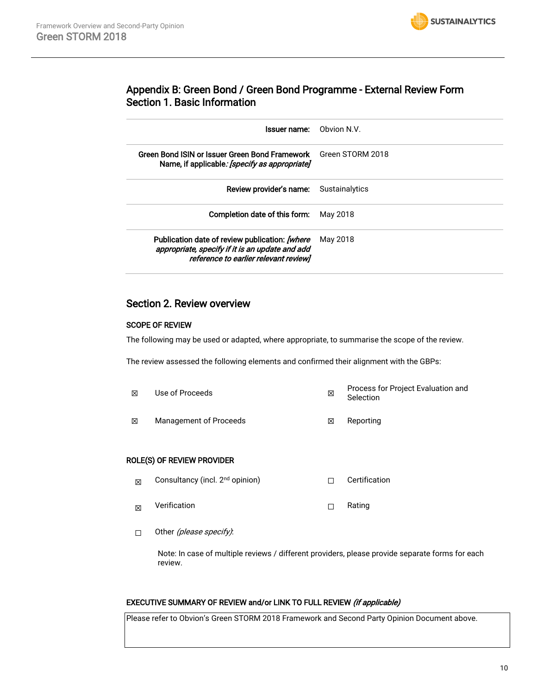

## Appendix B: Green Bond / Green Bond Programme - External Review Form Section 1. Basic Information

| Obvion N.V.                                                                                                                                                                                                                                         |
|-----------------------------------------------------------------------------------------------------------------------------------------------------------------------------------------------------------------------------------------------------|
| Green Bond ISIN or Issuer Green Bond Framework<br>Green STORM 2018                                                                                                                                                                                  |
| Review provider's name:<br>Sustainalytics                                                                                                                                                                                                           |
| May 2018                                                                                                                                                                                                                                            |
| May 2018                                                                                                                                                                                                                                            |
| Issuer name:<br>Name, if applicable: <i>[specify as appropriate]</i><br>Completion date of this form:<br>Publication date of review publication: [where<br>appropriate, specify if it is an update and add<br>reference to earlier relevant reviewl |

## Section 2. Review overview

#### SCOPE OF REVIEW

The following may be used or adapted, where appropriate, to summarise the scope of the review.

The review assessed the following elements and confirmed their alignment with the GBPs:

| 冈 | Use of Proceeds        | ⊠ | Process for Project Evaluation and<br>Selection |
|---|------------------------|---|-------------------------------------------------|
| 冈 | Management of Proceeds | ⊠ | Reporting                                       |

#### ROLE(S) OF REVIEW PROVIDER

- $\boxtimes$  Consultancy (incl. 2<sup>nd</sup> opinion)  $\Box$  Certification
- $\boxtimes$  Verification  $\Box$  Rating
- □ Other (*please specify)*:

Note: In case of multiple reviews / different providers, please provide separate forms for each review.

### EXECUTIVE SUMMARY OF REVIEW and/or LINK TO FULL REVIEW (if applicable)

Please refer to Obvion's Green STORM 2018 Framework and Second Party Opinion Document above.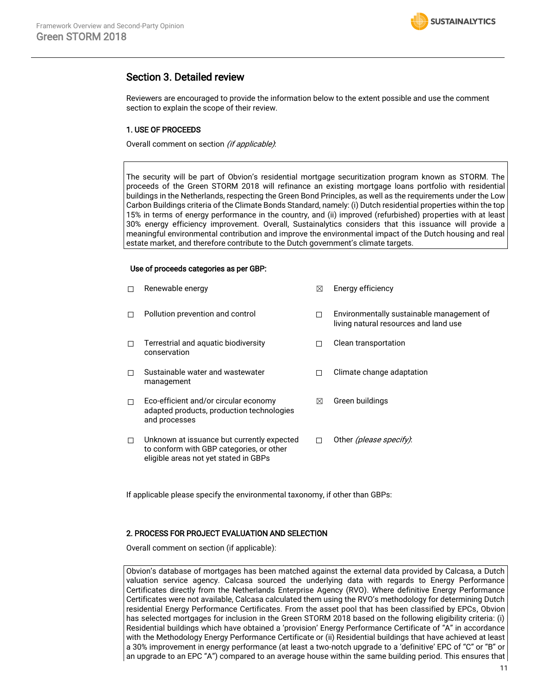

### Section 3. Detailed review

Reviewers are encouraged to provide the information below to the extent possible and use the comment section to explain the scope of their review.

#### 1. USE OF PROCEEDS

Overall comment on section (if applicable).

The security will be part of Obvion's residential mortgage securitization program known as STORM. The proceeds of the Green STORM 2018 will refinance an existing mortgage loans portfolio with residential buildings in the Netherlands, respecting the Green Bond Principles, as well as the requirements under the Low Carbon Buildings criteria of the Climate Bonds Standard, namely: (i) Dutch residential properties within the top 15% in terms of energy performance in the country, and (ii) improved (refurbished) properties with at least 30% energy efficiency improvement. Overall, Sustainalytics considers that this issuance will provide a meaningful environmental contribution and improve the environmental impact of the Dutch housing and real estate market, and therefore contribute to the Dutch government's climate targets.

#### Use of proceeds categories as per GBP:

| п | Renewable energy                                                                                                                | ⊠ | Energy efficiency                                                                  |
|---|---------------------------------------------------------------------------------------------------------------------------------|---|------------------------------------------------------------------------------------|
| п | Pollution prevention and control                                                                                                |   | Environmentally sustainable management of<br>living natural resources and land use |
| п | Terrestrial and aquatic biodiversity<br>conservation                                                                            |   | Clean transportation                                                               |
| п | Sustainable water and wastewater<br>management                                                                                  |   | Climate change adaptation                                                          |
| □ | Eco-efficient and/or circular economy<br>adapted products, production technologies<br>and processes                             | ⊠ | Green buildings                                                                    |
| □ | Unknown at issuance but currently expected<br>to conform with GBP categories, or other<br>eligible areas not yet stated in GBPs |   | Other (please specify).                                                            |

If applicable please specify the environmental taxonomy, if other than GBPs:

#### 2. PROCESS FOR PROJECT EVALUATION AND SELECTION

Overall comment on section (if applicable):

Obvion's database of mortgages has been matched against the external data provided by Calcasa, a Dutch valuation service agency. Calcasa sourced the underlying data with regards to Energy Performance Certificates directly from the Netherlands Enterprise Agency (RVO). Where definitive Energy Performance Certificates were not available, Calcasa calculated them using the RVO's methodology for determining Dutch residential Energy Performance Certificates. From the asset pool that has been classified by EPCs, Obvion has selected mortgages for inclusion in the Green STORM 2018 based on the following eligibility criteria: (i) Residential buildings which have obtained a 'provision' Energy Performance Certificate of "A" in accordance with the Methodology Energy Performance Certificate or (ii) Residential buildings that have achieved at least a 30% improvement in energy performance (at least a two-notch upgrade to a 'definitive' EPC of "C" or "B" or an upgrade to an EPC "A") compared to an average house within the same building period. This ensures that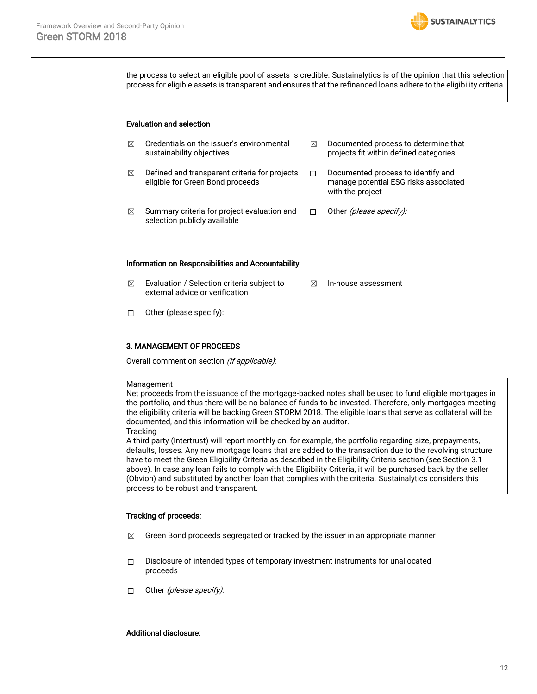

the process to select an eligible pool of assets is credible. Sustainalytics is of the opinion that this selection process for eligible assets is transparent and ensures that the refinanced loans adhere to the eligibility criteria.

#### Evaluation and selection

| ⊠ | Credentials on the issuer's environmental<br>sustainability objectives            | ⊠ | Documented process to determine that<br>projects fit within defined categories                  |
|---|-----------------------------------------------------------------------------------|---|-------------------------------------------------------------------------------------------------|
| ⊠ | Defined and transparent criteria for projects<br>eligible for Green Bond proceeds |   | Documented process to identify and<br>manage potential ESG risks associated<br>with the project |
| ⊠ | Summary criteria for project evaluation and<br>selection publicly available       |   | Other <i>(please specify):</i>                                                                  |

#### Information on Responsibilities and Accountability

- $\boxtimes$  Evaluation / Selection criteria subject to external advice or verification ☒ In-house assessment
- ☐ Other (please specify):

#### 3. MANAGEMENT OF PROCEEDS

Overall comment on section (if applicable):

#### Management

Net proceeds from the issuance of the mortgage-backed notes shall be used to fund eligible mortgages in the portfolio, and thus there will be no balance of funds to be invested. Therefore, only mortgages meeting the eligibility criteria will be backing Green STORM 2018. The eligible loans that serve as collateral will be documented, and this information will be checked by an auditor. **Tracking** 

A third party (Intertrust) will report monthly on, for example, the portfolio regarding size, prepayments, defaults, losses. Any new mortgage loans that are added to the transaction due to the revolving structure have to meet the Green Eligibility Criteria as described in the Eligibility Criteria section (see Section 3.1 above). In case any loan fails to comply with the Eligibility Criteria, it will be purchased back by the seller (Obvion) and substituted by another loan that complies with the criteria. Sustainalytics considers this process to be robust and transparent.

#### Tracking of proceeds:

- $\boxtimes$  Green Bond proceeds segregated or tracked by the issuer in an appropriate manner
- ☐ Disclosure of intended types of temporary investment instruments for unallocated proceeds
- □ Other *(please specify)*:

#### Additional disclosure: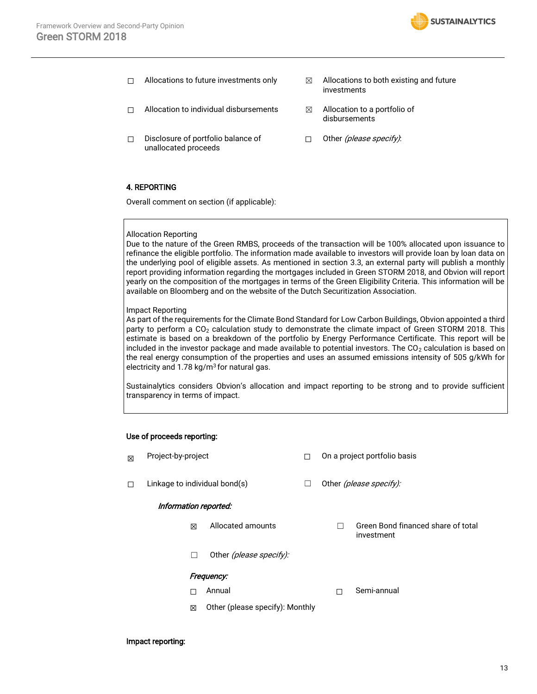

- $\Box$  Allocations to future investments only  $\boxtimes$  Allocations to both existing and future
- investments
- □ Allocation to individual disbursements <sub>△</sub> △ Allocation to a portfolio of
- ☐ Disclosure of portfolio balance of unallocated proceeds
- □ Other *(please specify)*:

disbursements

#### 4. REPORTING

Overall comment on section (if applicable):

#### Allocation Reporting

Due to the nature of the Green RMBS, proceeds of the transaction will be 100% allocated upon issuance to refinance the eligible portfolio. The information made available to investors will provide loan by loan data on the underlying pool of eligible assets. As mentioned in section 3.3, an external party will publish a monthly report providing information regarding the mortgages included in Green STORM 2018, and Obvion will report yearly on the composition of the mortgages in terms of the Green Eligibility Criteria. This information will be available on Bloomberg and on the website of the Dutch Securitization Association.

#### Impact Reporting

As part of the requirements for the Climate Bond Standard for Low Carbon Buildings, Obvion appointed a third party to perform a  $CO<sub>2</sub>$  calculation study to demonstrate the climate impact of Green STORM 2018. This estimate is based on a breakdown of the portfolio by Energy Performance Certificate. This report will be included in the investor package and made available to potential investors. The  $CO<sub>2</sub>$  calculation is based on the real energy consumption of the properties and uses an assumed emissions intensity of 505 g/kWh for electricity and  $1.78 \text{ kg/m}^3$  for natural gas.

Sustainalytics considers Obvion's allocation and impact reporting to be strong and to provide sufficient transparency in terms of impact.

#### Use of proceeds reporting:

| 冈                                    | Project-by-project            |                         |  |                         | On a project portfolio basis                     |  |  |  |
|--------------------------------------|-------------------------------|-------------------------|--|-------------------------|--------------------------------------------------|--|--|--|
| П                                    | Linkage to individual bond(s) |                         |  | Other (please specify): |                                                  |  |  |  |
| Information reported:                |                               |                         |  |                         |                                                  |  |  |  |
|                                      | ⊠                             | Allocated amounts       |  |                         | Green Bond financed share of total<br>investment |  |  |  |
|                                      | П                             | Other (please specify): |  |                         |                                                  |  |  |  |
| Frequency:                           |                               |                         |  |                         |                                                  |  |  |  |
|                                      | n l                           | Annual                  |  |                         | Semi-annual                                      |  |  |  |
| Other (please specify): Monthly<br>⊠ |                               |                         |  |                         |                                                  |  |  |  |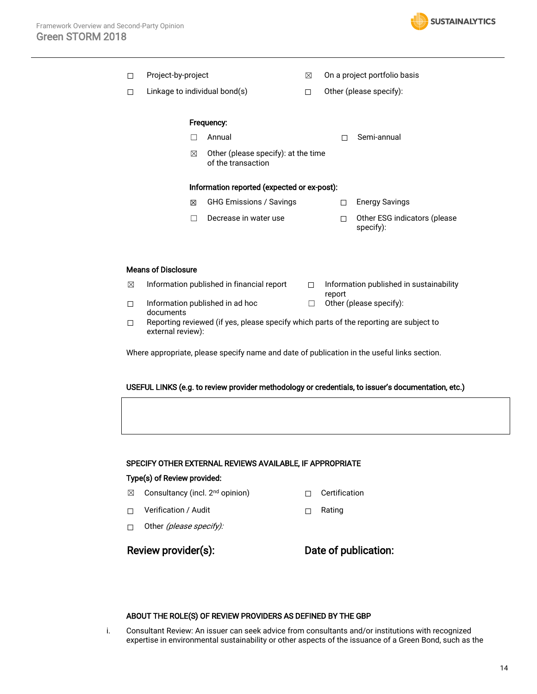

| п | Project-by-project            |                                                           | ⊠ |                         | On a project portfolio basis              |  |  |
|---|-------------------------------|-----------------------------------------------------------|---|-------------------------|-------------------------------------------|--|--|
| п | Linkage to individual bond(s) |                                                           |   | Other (please specify): |                                           |  |  |
|   |                               |                                                           |   |                         |                                           |  |  |
|   |                               | Frequency:                                                |   |                         |                                           |  |  |
|   |                               | Annual                                                    |   |                         | Semi-annual                               |  |  |
|   | ⊠                             | Other (please specify): at the time<br>of the transaction |   |                         |                                           |  |  |
|   |                               | Information reported (expected or ex-post):               |   |                         |                                           |  |  |
|   | ⊠                             | <b>GHG Emissions / Savings</b>                            |   |                         | <b>Energy Savings</b>                     |  |  |
|   |                               | Decrease in water use                                     |   | П                       | Other ESG indicators (please<br>specify): |  |  |

### Means of Disclosure

| ⊠ | Information published in financial report |        | Information published in sustainability |
|---|-------------------------------------------|--------|-----------------------------------------|
|   | Information published in ad hoc           | $\Box$ | report<br>Other (please specify):       |
|   | documents                                 |        | .                                       |

☐ Reporting reviewed (if yes, please specify which parts of the reporting are subject to external review):

Where appropriate, please specify name and date of publication in the useful links section.

#### USEFUL LINKS (e.g. to review provider methodology or credentials, to issuer's documentation, etc.)

#### SPECIFY OTHER EXTERNAL REVIEWS AVAILABLE, IF APPROPRIATE

#### Type(s) of Review provided:

- **⊠** Consultancy (incl. 2<sup>nd</sup> opinion) □ Certification
- ☐ Verification / Audit ☐ Rating
- □ Other (please specify):

Review provider(s): Date of publication:

#### ABOUT THE ROLE(S) OF REVIEW PROVIDERS AS DEFINED BY THE GBP

i. Consultant Review: An issuer can seek advice from consultants and/or institutions with recognized expertise in environmental sustainability or other aspects of the issuance of a Green Bond, such as the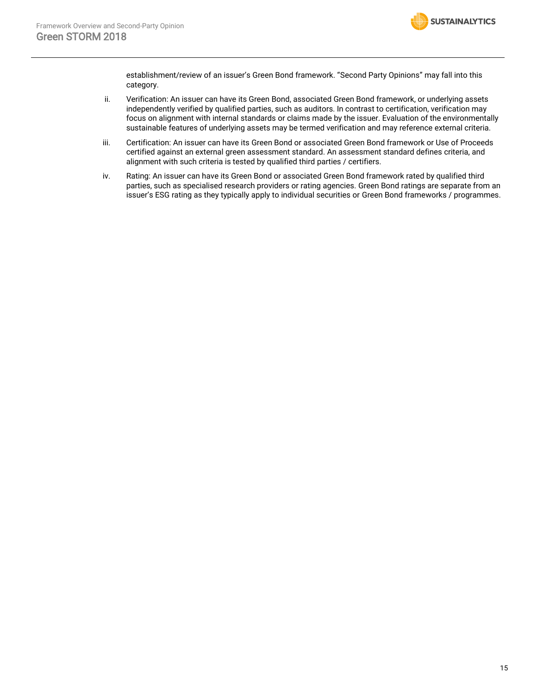

establishment/review of an issuer's Green Bond framework. "Second Party Opinions" may fall into this category.

- ii. Verification: An issuer can have its Green Bond, associated Green Bond framework, or underlying assets independently verified by qualified parties, such as auditors. In contrast to certification, verification may focus on alignment with internal standards or claims made by the issuer. Evaluation of the environmentally sustainable features of underlying assets may be termed verification and may reference external criteria.
- iii. Certification: An issuer can have its Green Bond or associated Green Bond framework or Use of Proceeds certified against an external green assessment standard. An assessment standard defines criteria, and alignment with such criteria is tested by qualified third parties / certifiers.
- iv. Rating: An issuer can have its Green Bond or associated Green Bond framework rated by qualified third parties, such as specialised research providers or rating agencies. Green Bond ratings are separate from an issuer's ESG rating as they typically apply to individual securities or Green Bond frameworks / programmes.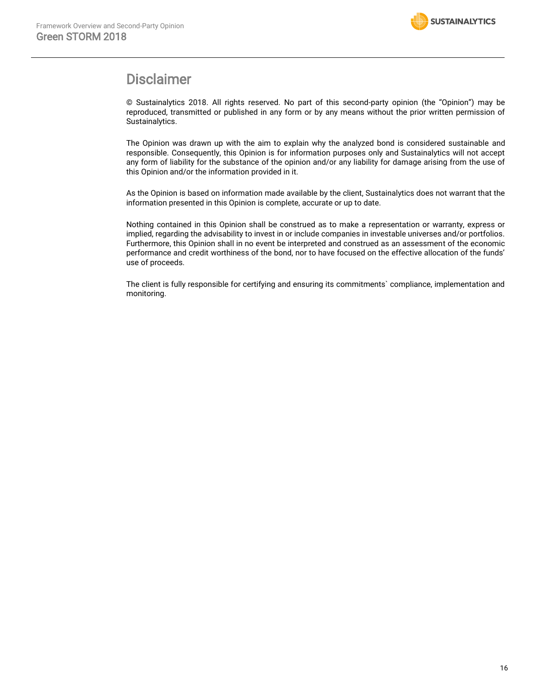

## Disclaimer

© Sustainalytics 2018. All rights reserved. No part of this second-party opinion (the "Opinion") may be reproduced, transmitted or published in any form or by any means without the prior written permission of Sustainalytics.

The Opinion was drawn up with the aim to explain why the analyzed bond is considered sustainable and responsible. Consequently, this Opinion is for information purposes only and Sustainalytics will not accept any form of liability for the substance of the opinion and/or any liability for damage arising from the use of this Opinion and/or the information provided in it.

As the Opinion is based on information made available by the client, Sustainalytics does not warrant that the information presented in this Opinion is complete, accurate or up to date.

Nothing contained in this Opinion shall be construed as to make a representation or warranty, express or implied, regarding the advisability to invest in or include companies in investable universes and/or portfolios. Furthermore, this Opinion shall in no event be interpreted and construed as an assessment of the economic performance and credit worthiness of the bond, nor to have focused on the effective allocation of the funds' use of proceeds.

The client is fully responsible for certifying and ensuring its commitments` compliance, implementation and monitoring.